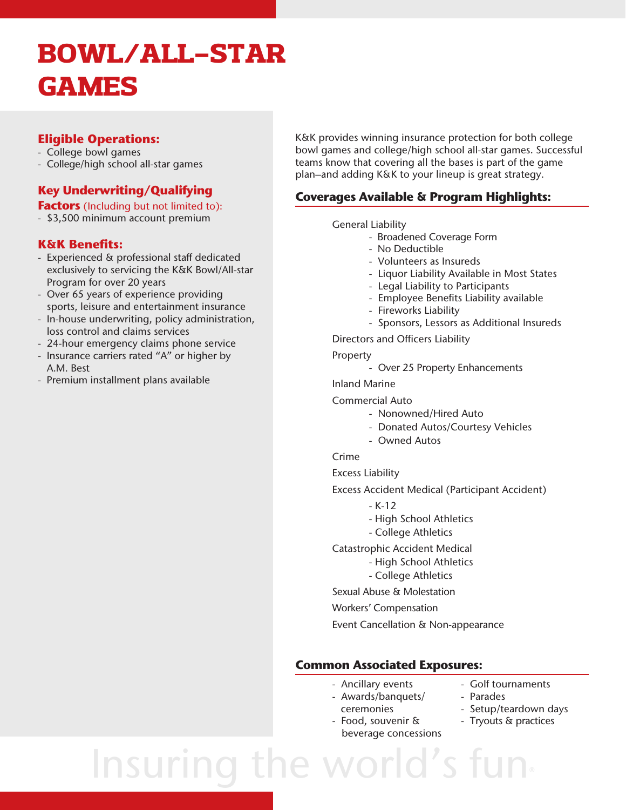# **BOWL/ALL-STAR GAMES**

#### Eligible Operations:

- College bowl games
- College/high school all-star games

#### Key Underwriting/Qualifying

- **Factors** (Including but not limited to):
- \$3,500 minimum account premium

#### K&K Benefits:

- Experienced & professional staff dedicated exclusively to servicing the K&K Bowl/All-star Program for over 20 years
- Over 65 years of experience providing sports, leisure and entertainment insurance
- In-house underwriting, policy administration, loss control and claims services
- 24-hour emergency claims phone service
- Insurance carriers rated "A" or higher by A.M. Best
- Premium installment plans available

K&K provides winning insurance protection for both college bowl games and college/high school all-star games. Successful teams know that covering all the bases is part of the game plan–and adding K&K to your lineup is great strategy.

#### Coverages Available & Program Highlights:

#### General Liability

- Broadened Coverage Form
- No Deductible
- Volunteers as Insureds
- Liquor Liability Available in Most States
- Legal Liability to Participants
- Employee Benefits Liability available
- Fireworks Liability
- Sponsors, Lessors as Additional Insureds

Directors and Officers Liability

Property

- Over 25 Property Enhancements

Inland Marine

#### Commercial Auto

- Nonowned/Hired Auto
- Donated Autos/Courtesy Vehicles
- Owned Autos

#### Crime

Excess Liability

Excess Accident Medical (Participant Accident)

- $-K-12$
- High School Athletics
- College Athletics

Catastrophic Accident Medical

- High School Athletics
- College Athletics
- Sexual Abuse & Molestation

Workers' Compensation

Event Cancellation & Non-appearance

#### Common Associated Exposures:

- Ancillary events Golf tournaments
- Awards/banquets/ Parades
	- ceremonies Setup/teardown days
- Food, souvenir & Tryouts & practices beverage concessions
- -

Insuring the world's fun-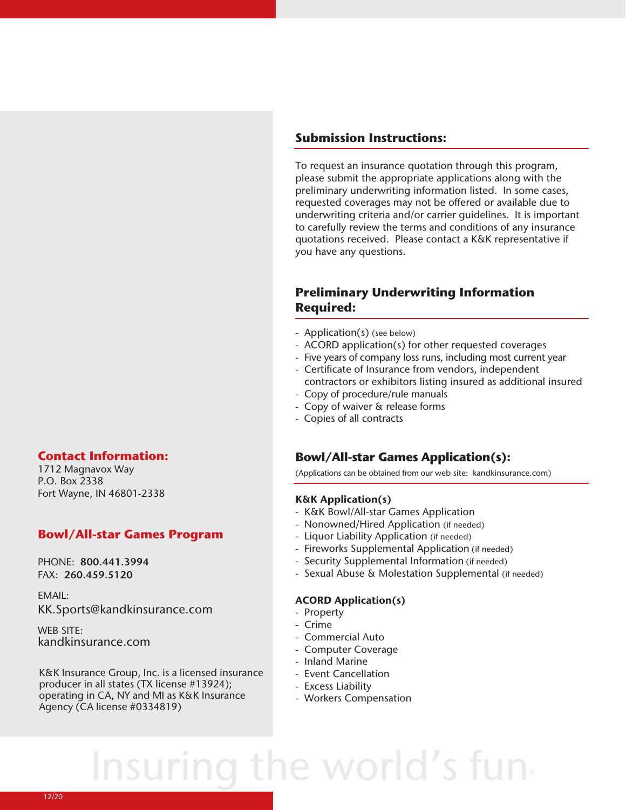#### Contact Information:

1712 Magnavox Way P.O. Box 2338 Fort Wayne, IN 46801-2338

#### Bowl/All-star Games Program

PHONE: 800.441.3994 FAX: 260.459.5120

EMAIL: KK.Sports@kandkinsurance.com

WEB SITE: k[andkinsurance.com](mailto:KK.Sports@kandkinsurance.com)

K[&K Insurance Group, Inc. is a licen](http://www.kandkinsurance.com)sed insurance producer in all states (TX license #13924); operating in CA, NY and MI as K&K Insurance Agency (CA license #0334819)

#### Submission Instructions:

To request an insurance quotation through this program, please submit the appropriate applications along with the preliminary underwriting information listed. In some cases, requested coverages may not be offered or available due to underwriting criteria and/or carrier guidelines. It is important to carefully review the terms and conditions of any insurance quotations received. Please contact a K&K representative if you have any questions.

#### Preliminary Underwriting Information Required:

- Application(s) (see below)
- ACORD application(s) for other requested coverages
- Five years of company loss runs, including most current year
- Certificate of Insurance from vendors, independent contractors or exhibitors listing insured as additional insured
- Copy of procedure/rule manuals
- Copy of waiver & release forms
- Copies of all contracts

#### [Bowl/All-star Games Application\(s\):](http://www.kandkinsurance.com/Sports/Pages/Bowl-Games-High-School-All-Star-Games-Applications-Printable-Documents.aspx)

(Applications can be obtained from our web site: kandkinsurance.com)

#### K&K Application(s)

- K&K Bowl/All-star Games Application
- Nonowned/Hired Application (if needed)
- Liquor Liability Application (if needed)
- Fireworks Supplemental Application (if needed)
- Security Supplemental Information (if needed)
- Sexual Abuse & Molestation Supplemental (if needed)

#### ACORD Application(s)

- Property
- Crime
- Commercial Auto
- Computer Coverage
- Inland Marine
- Event Cancellation
- Excess Liability
- Workers Compensation

# Insuring the world's fun-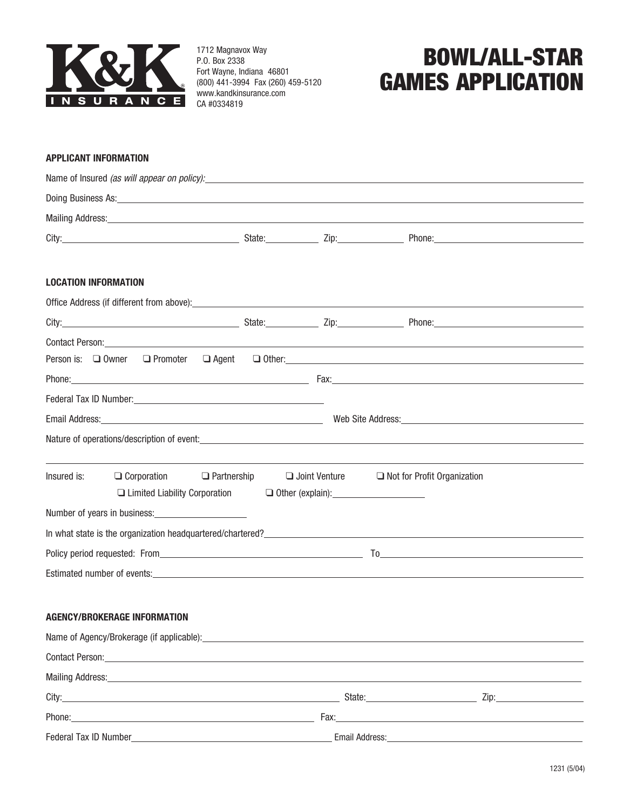

1712 Magnavox Way P.O. Box 2338 Fort Wayne, Indiana 46801 (800) 441-3994 Fax (260) 459-5120 www.kandkinsurance.com CA #0334819

# BOWL/ALL-STAR GAMES APPLICATION

#### **APPLICANT INFORMATION**

| Mailing Address: National Address: National Address: National Address: National Address: National Address: National Address: National Address: National Address: National Address: National Address: National Address: Nationa         |                    |                |                                                         |  |
|----------------------------------------------------------------------------------------------------------------------------------------------------------------------------------------------------------------------------------------|--------------------|----------------|---------------------------------------------------------|--|
|                                                                                                                                                                                                                                        |                    |                |                                                         |  |
|                                                                                                                                                                                                                                        |                    |                |                                                         |  |
| <b>LOCATION INFORMATION</b>                                                                                                                                                                                                            |                    |                |                                                         |  |
| Office Address (if different from above):<br><u>Contract and a set of the set of the set of the set of the set of the set of the set of the set of the set of the set of the set of the set of the set of the set of the set of th</u> |                    |                |                                                         |  |
|                                                                                                                                                                                                                                        |                    |                |                                                         |  |
| Contact Person: New York State Assembly the Contact Person in the Contact Person: New York State Assembly the Contact Person:                                                                                                          |                    |                |                                                         |  |
|                                                                                                                                                                                                                                        |                    |                |                                                         |  |
|                                                                                                                                                                                                                                        |                    |                |                                                         |  |
|                                                                                                                                                                                                                                        |                    |                |                                                         |  |
|                                                                                                                                                                                                                                        |                    |                |                                                         |  |
| Nature of operations/description of event: example and a series of example and a series of operations of event:                                                                                                                        |                    |                |                                                         |  |
|                                                                                                                                                                                                                                        |                    |                |                                                         |  |
| Insured is:<br>$\Box$ Corporation                                                                                                                                                                                                      | $\Box$ Partnership |                | $\Box$ Joint Venture $\Box$ Not for Profit Organization |  |
| □ Limited Liability Corporation □ Other (explain): □                                                                                                                                                                                   |                    |                |                                                         |  |
| Number of years in business:<br><u>Number of years in business:</u>                                                                                                                                                                    |                    |                |                                                         |  |
|                                                                                                                                                                                                                                        |                    |                |                                                         |  |
|                                                                                                                                                                                                                                        |                    |                |                                                         |  |
|                                                                                                                                                                                                                                        |                    |                |                                                         |  |
|                                                                                                                                                                                                                                        |                    |                |                                                         |  |
| <b>AGENCY/BROKERAGE INFORMATION</b>                                                                                                                                                                                                    |                    |                |                                                         |  |
| Name of Agency/Brokerage (if applicable): Name of Agency and the Second Second Seconds and Seconds and Seconds Seconds and Seconds and Seconds and Seconds and Seconds and Seconds and Seconds and Seconds and Seconds and Sec         |                    |                |                                                         |  |
|                                                                                                                                                                                                                                        |                    |                |                                                         |  |
|                                                                                                                                                                                                                                        |                    |                |                                                         |  |
|                                                                                                                                                                                                                                        |                    |                |                                                         |  |
|                                                                                                                                                                                                                                        |                    |                |                                                         |  |
| Federal Tax ID Number                                                                                                                                                                                                                  |                    | Email Address: |                                                         |  |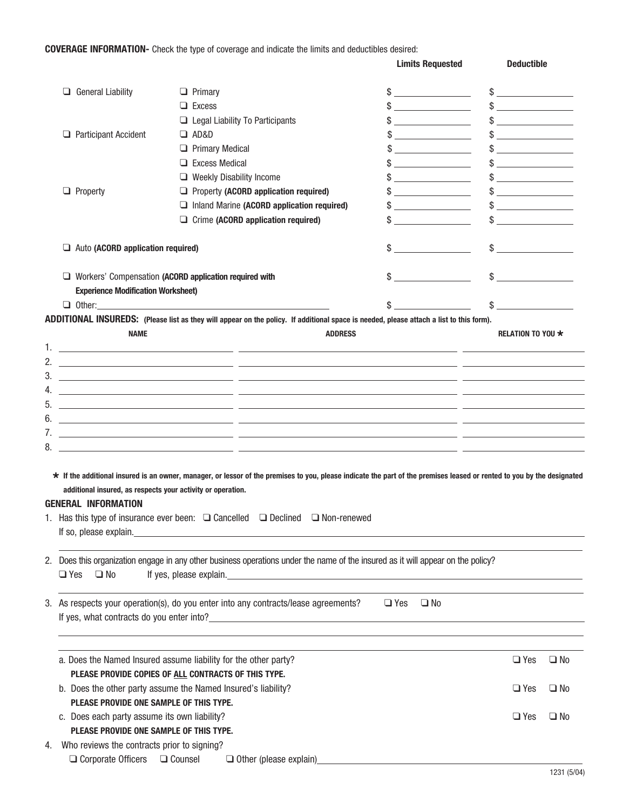**COVERAGE INFORMATION-** Check the type of coverage and indicate the limits and deductibles desired:

|                                                                                           | <b>ENAUL INFUNNIATION</b> THECK THE TABLE OF COVERAGE AND INDICATE THE INTIITS AND DEDUCTIONES OF SIFTED.                                                                                                                                               | <b>Limits Requested</b>                                                                                                                                                                                                                                                                                             | <b>Deductible</b>          |
|-------------------------------------------------------------------------------------------|---------------------------------------------------------------------------------------------------------------------------------------------------------------------------------------------------------------------------------------------------------|---------------------------------------------------------------------------------------------------------------------------------------------------------------------------------------------------------------------------------------------------------------------------------------------------------------------|----------------------------|
| $\Box$ General Liability                                                                  | $\Box$ Primary                                                                                                                                                                                                                                          | $\frac{1}{1}$                                                                                                                                                                                                                                                                                                       | $\frac{1}{2}$              |
|                                                                                           | $\Box$ Excess                                                                                                                                                                                                                                           | $\frac{1}{2}$ $\frac{1}{2}$ $\frac{1}{2}$ $\frac{1}{2}$ $\frac{1}{2}$ $\frac{1}{2}$ $\frac{1}{2}$ $\frac{1}{2}$ $\frac{1}{2}$ $\frac{1}{2}$ $\frac{1}{2}$ $\frac{1}{2}$ $\frac{1}{2}$ $\frac{1}{2}$ $\frac{1}{2}$ $\frac{1}{2}$ $\frac{1}{2}$ $\frac{1}{2}$ $\frac{1}{2}$ $\frac{1}{2}$ $\frac{1}{2}$ $\frac{1}{2}$ |                            |
|                                                                                           | $\Box$ Legal Liability To Participants                                                                                                                                                                                                                  | $\frac{1}{2}$ $\frac{1}{2}$ $\frac{1}{2}$ $\frac{1}{2}$ $\frac{1}{2}$ $\frac{1}{2}$ $\frac{1}{2}$ $\frac{1}{2}$ $\frac{1}{2}$ $\frac{1}{2}$ $\frac{1}{2}$ $\frac{1}{2}$ $\frac{1}{2}$ $\frac{1}{2}$ $\frac{1}{2}$ $\frac{1}{2}$ $\frac{1}{2}$ $\frac{1}{2}$ $\frac{1}{2}$ $\frac{1}{2}$ $\frac{1}{2}$ $\frac{1}{2}$ | $\sim$                     |
| $\Box$ Participant Accident                                                               | $\Box$ AD&D                                                                                                                                                                                                                                             | $\frac{1}{2}$                                                                                                                                                                                                                                                                                                       |                            |
|                                                                                           |                                                                                                                                                                                                                                                         |                                                                                                                                                                                                                                                                                                                     |                            |
|                                                                                           | $\Box$ Primary Medical<br><b>Excess Medical</b><br>⊔                                                                                                                                                                                                    |                                                                                                                                                                                                                                                                                                                     |                            |
|                                                                                           |                                                                                                                                                                                                                                                         |                                                                                                                                                                                                                                                                                                                     |                            |
|                                                                                           | $\Box$ Weekly Disability Income                                                                                                                                                                                                                         | $\frac{1}{2}$                                                                                                                                                                                                                                                                                                       |                            |
| $\Box$ Property                                                                           | $\Box$ Property (ACORD application required)                                                                                                                                                                                                            | $\frac{1}{2}$ $\frac{1}{2}$ $\frac{1}{2}$ $\frac{1}{2}$ $\frac{1}{2}$ $\frac{1}{2}$ $\frac{1}{2}$ $\frac{1}{2}$ $\frac{1}{2}$ $\frac{1}{2}$ $\frac{1}{2}$ $\frac{1}{2}$ $\frac{1}{2}$ $\frac{1}{2}$ $\frac{1}{2}$ $\frac{1}{2}$ $\frac{1}{2}$ $\frac{1}{2}$ $\frac{1}{2}$ $\frac{1}{2}$ $\frac{1}{2}$ $\frac{1}{2}$ |                            |
|                                                                                           | $\Box$ Inland Marine (ACORD application required)                                                                                                                                                                                                       | $\frac{1}{2}$                                                                                                                                                                                                                                                                                                       |                            |
|                                                                                           | $\Box$ Crime (ACORD application required)                                                                                                                                                                                                               |                                                                                                                                                                                                                                                                                                                     |                            |
| $\Box$ Auto (ACORD application required)                                                  |                                                                                                                                                                                                                                                         | $\frac{1}{2}$                                                                                                                                                                                                                                                                                                       | $\frac{1}{2}$              |
|                                                                                           | $\Box$ Workers' Compensation (ACORD application required with                                                                                                                                                                                           | $\frac{1}{2}$                                                                                                                                                                                                                                                                                                       | $\frac{1}{2}$              |
| <b>Experience Modification Worksheet)</b>                                                 |                                                                                                                                                                                                                                                         |                                                                                                                                                                                                                                                                                                                     |                            |
|                                                                                           |                                                                                                                                                                                                                                                         | $\sim$                                                                                                                                                                                                                                                                                                              | $\qquad \qquad \$$         |
|                                                                                           | ADDITIONAL INSUREDS: (Please list as they will appear on the policy. If additional space is needed, please attach a list to this form).                                                                                                                 |                                                                                                                                                                                                                                                                                                                     |                            |
| <b>NAME</b>                                                                               | <b>ADDRESS</b>                                                                                                                                                                                                                                          |                                                                                                                                                                                                                                                                                                                     | RELATION TO YOU *          |
| 1.                                                                                        | <u> Alexandro de la contrada de la contrada de la contrada de la contrada de la contrada de la contrada de la co</u>                                                                                                                                    |                                                                                                                                                                                                                                                                                                                     |                            |
| 2.                                                                                        |                                                                                                                                                                                                                                                         |                                                                                                                                                                                                                                                                                                                     |                            |
| 3.                                                                                        | <u> 1980 - Andrea Andrew Amerikaanse konstantinoplering († 1908)</u>                                                                                                                                                                                    |                                                                                                                                                                                                                                                                                                                     |                            |
| 4.                                                                                        | <u> 1999 - Jan James James James James James James James James James James James James James James James James J</u>                                                                                                                                    |                                                                                                                                                                                                                                                                                                                     |                            |
| 5.                                                                                        | <u> 1999 - Andrea San Andrea Andrea (h. 1989).</u>                                                                                                                                                                                                      |                                                                                                                                                                                                                                                                                                                     |                            |
| 6.                                                                                        |                                                                                                                                                                                                                                                         |                                                                                                                                                                                                                                                                                                                     |                            |
| 7.                                                                                        |                                                                                                                                                                                                                                                         |                                                                                                                                                                                                                                                                                                                     |                            |
| additional insured, as respects your activity or operation.<br><b>GENERAL INFORMATION</b> | * If the additional insured is an owner, manager, or lessor of the premises to you, please indicate the part of the premises leased or rented to you by the designated<br>1. Has this type of insurance ever been: □ Cancelled □ Declined □ Non-renewed |                                                                                                                                                                                                                                                                                                                     |                            |
|                                                                                           |                                                                                                                                                                                                                                                         |                                                                                                                                                                                                                                                                                                                     |                            |
| $\Box$ Yes<br>$\Box$ No                                                                   | 2. Does this organization engage in any other business operations under the name of the insured as it will appear on the policy?<br>If yes, please explain. The contract of year and the contract of yes, please explain.                               |                                                                                                                                                                                                                                                                                                                     |                            |
|                                                                                           | 3. As respects your operation(s), do you enter into any contracts/lease agreements?<br><u> 1989 - Andrea Santa Andrea Andrea Andrea Andrea Andrea Andrea Andrea Andrea Andrea Andrea Andrea Andrea Andr</u>                                             | $\Box$ Yes $\Box$ No                                                                                                                                                                                                                                                                                                |                            |
|                                                                                           | a. Does the Named Insured assume liability for the other party?                                                                                                                                                                                         |                                                                                                                                                                                                                                                                                                                     | $\Box$ Yes<br>$\square$ No |
|                                                                                           | PLEASE PROVIDE COPIES OF ALL CONTRACTS OF THIS TYPE.                                                                                                                                                                                                    |                                                                                                                                                                                                                                                                                                                     |                            |
|                                                                                           | b. Does the other party assume the Named Insured's liability?                                                                                                                                                                                           |                                                                                                                                                                                                                                                                                                                     | $\Box$ Yes<br>$\square$ No |
| PLEASE PROVIDE ONE SAMPLE OF THIS TYPE.                                                   |                                                                                                                                                                                                                                                         |                                                                                                                                                                                                                                                                                                                     |                            |
| c. Does each party assume its own liability?                                              |                                                                                                                                                                                                                                                         |                                                                                                                                                                                                                                                                                                                     | $\Box$ Yes<br>$\square$ No |
| PLEASE PROVIDE ONE SAMPLE OF THIS TYPE.                                                   |                                                                                                                                                                                                                                                         |                                                                                                                                                                                                                                                                                                                     |                            |
| Who reviews the contracts prior to signing?<br>4.                                         |                                                                                                                                                                                                                                                         |                                                                                                                                                                                                                                                                                                                     |                            |
| $\Box$ Corporate Officers $\Box$ Counsel                                                  | $\Box$ Other (please explain)                                                                                                                                                                                                                           |                                                                                                                                                                                                                                                                                                                     |                            |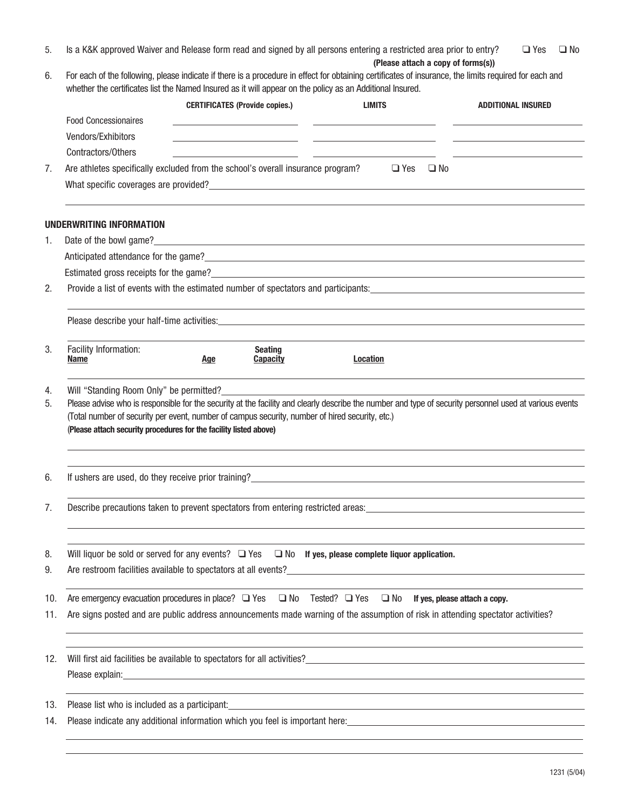5. Is a K&K approved Waiver and Release form read and signed by all persons entering a restricted area prior to entry?  $\Box$  Yes  $\Box$  No

**(Please attach a copy of forms(s))**

6. For each of the following, please indicate if there is a procedure in effect for obtaining certificates of insurance, the limits required for each and whether the certificates list the Named Insured as it will appear on the policy as an Additional Insured.

|     |                                                                                                                                                                                                                                        |     | <b>CERTIFICATES (Provide copies.)</b>                           | <b>LIMITS</b>                                                                                                                                                                                                                        |                      | <b>ADDITIONAL INSURED</b>                                                                                                                                                                                                          |
|-----|----------------------------------------------------------------------------------------------------------------------------------------------------------------------------------------------------------------------------------------|-----|-----------------------------------------------------------------|--------------------------------------------------------------------------------------------------------------------------------------------------------------------------------------------------------------------------------------|----------------------|------------------------------------------------------------------------------------------------------------------------------------------------------------------------------------------------------------------------------------|
|     | <b>Food Concessionaires</b>                                                                                                                                                                                                            |     |                                                                 | <u> 1999 - Johann Harry Harry Harry Harry Harry Harry Harry Harry Harry Harry Harry Harry Harry Harry Harry Harry Harry Harry Harry Harry Harry Harry Harry Harry Harry Harry Harry Harry Harry Harry Harry Harry Harry Harry Ha</u> |                      |                                                                                                                                                                                                                                    |
|     | Vendors/Exhibitors                                                                                                                                                                                                                     |     | the control of the control of the control of the control of the | <u> The Common State of the Common State of the Common State of the Common State of the Common State of the Common State of the Common State of the Common State of the Common State of the Common State of the Common State of </u> |                      |                                                                                                                                                                                                                                    |
|     | Contractors/Others                                                                                                                                                                                                                     |     |                                                                 |                                                                                                                                                                                                                                      |                      |                                                                                                                                                                                                                                    |
| 7.  | Are athletes specifically excluded from the school's overall insurance program?                                                                                                                                                        |     |                                                                 |                                                                                                                                                                                                                                      | $\Box$ Yes $\Box$ No |                                                                                                                                                                                                                                    |
|     | What specific coverages are provided?<br><u> What specific coverages are provided?</u>                                                                                                                                                 |     |                                                                 |                                                                                                                                                                                                                                      |                      |                                                                                                                                                                                                                                    |
|     | UNDERWRITING INFORMATION                                                                                                                                                                                                               |     |                                                                 |                                                                                                                                                                                                                                      |                      |                                                                                                                                                                                                                                    |
| 1.  |                                                                                                                                                                                                                                        |     |                                                                 |                                                                                                                                                                                                                                      |                      |                                                                                                                                                                                                                                    |
|     |                                                                                                                                                                                                                                        |     |                                                                 |                                                                                                                                                                                                                                      |                      |                                                                                                                                                                                                                                    |
|     | Estimated gross receipts for the game?<br><u>Estimated</u> gross receipts for the game?                                                                                                                                                |     |                                                                 |                                                                                                                                                                                                                                      |                      |                                                                                                                                                                                                                                    |
| 2.  |                                                                                                                                                                                                                                        |     |                                                                 |                                                                                                                                                                                                                                      |                      | Provide a list of events with the estimated number of spectators and participants: example a list of events with the estimated number of spectators and participants:                                                              |
|     |                                                                                                                                                                                                                                        |     |                                                                 |                                                                                                                                                                                                                                      |                      | <u> 1989 - Johann Stoff, amerikansk politiker (* 1908)</u>                                                                                                                                                                         |
|     |                                                                                                                                                                                                                                        |     |                                                                 |                                                                                                                                                                                                                                      |                      |                                                                                                                                                                                                                                    |
| 3.  | Facility Information:<br><b>Name</b>                                                                                                                                                                                                   | Age | <b>Seating</b><br><b>Capacity</b>                               | <b>Location</b>                                                                                                                                                                                                                      |                      |                                                                                                                                                                                                                                    |
| 5.  | Will "Standing Room Only" be permitted?<br>(Total number of security per event, number of campus security, number of hired security, etc.)<br>(Please attach security procedures for the facility listed above)                        |     |                                                                 |                                                                                                                                                                                                                                      |                      | Please advise who is responsible for the security at the facility and clearly describe the number and type of security personnel used at various events                                                                            |
| 6.  | If ushers are used, do they receive prior training?<br><u>Letting and the contract of the contract of the contract of the contract of the contract of the contract of the contract of the contract of the contract of the contract</u> |     |                                                                 |                                                                                                                                                                                                                                      |                      |                                                                                                                                                                                                                                    |
| 7.  | Describe precautions taken to prevent spectators from entering restricted areas: University of the state of the state of the state of the state of the state of the state of the state of the state of the state of the state          |     |                                                                 |                                                                                                                                                                                                                                      |                      |                                                                                                                                                                                                                                    |
|     |                                                                                                                                                                                                                                        |     |                                                                 |                                                                                                                                                                                                                                      |                      |                                                                                                                                                                                                                                    |
|     |                                                                                                                                                                                                                                        |     |                                                                 |                                                                                                                                                                                                                                      |                      |                                                                                                                                                                                                                                    |
| 8.  | Will liquor be sold or served for any events? $\Box$ Yes $\Box$ No If yes, please complete liquor application.                                                                                                                         |     |                                                                 |                                                                                                                                                                                                                                      |                      |                                                                                                                                                                                                                                    |
| 9.  | Are restroom facilities available to spectators at all events?<br>The contract of the contract of the contract of the contract of the contract of the contract of the contract of the contract of the contract of the contract o       |     |                                                                 |                                                                                                                                                                                                                                      |                      |                                                                                                                                                                                                                                    |
| 10. | Are emergency evacuation procedures in place? $\Box$ Yes $\Box$ No                                                                                                                                                                     |     |                                                                 | Tested? $\Box$ Yes $\Box$ No If yes, please attach a copy.                                                                                                                                                                           |                      |                                                                                                                                                                                                                                    |
| 11. | Are signs posted and are public address announcements made warning of the assumption of risk in attending spectator activities?                                                                                                        |     |                                                                 |                                                                                                                                                                                                                                      |                      | ,我们也不会有什么。""我们的人,我们也不会有什么?""我们的人,我们也不会有什么?""我们的人,我们也不会有什么?""我们的人,我们也不会有什么?""我们的人                                                                                                                                                   |
| 12. |                                                                                                                                                                                                                                        |     |                                                                 |                                                                                                                                                                                                                                      |                      |                                                                                                                                                                                                                                    |
|     |                                                                                                                                                                                                                                        |     |                                                                 |                                                                                                                                                                                                                                      |                      | Please explain: example and a series of the series of the series of the series of the series of the series of the series of the series of the series of the series of the series of the series of the series of the series of      |
|     |                                                                                                                                                                                                                                        |     |                                                                 |                                                                                                                                                                                                                                      |                      | ,我们也不会有什么。""我们的人,我们也不会有什么?""我们的人,我们也不会有什么?""我们的人,我们也不会有什么?""我们的人,我们也不会有什么?""我们的人                                                                                                                                                   |
| 13. |                                                                                                                                                                                                                                        |     |                                                                 |                                                                                                                                                                                                                                      |                      |                                                                                                                                                                                                                                    |
| 14. |                                                                                                                                                                                                                                        |     |                                                                 |                                                                                                                                                                                                                                      |                      | Please indicate any additional information which you feel is important here:<br>Separate any additional information which you feel is important here:<br>The manuscription of the manuscription of the manuscription of the manusc |
|     |                                                                                                                                                                                                                                        |     |                                                                 |                                                                                                                                                                                                                                      |                      |                                                                                                                                                                                                                                    |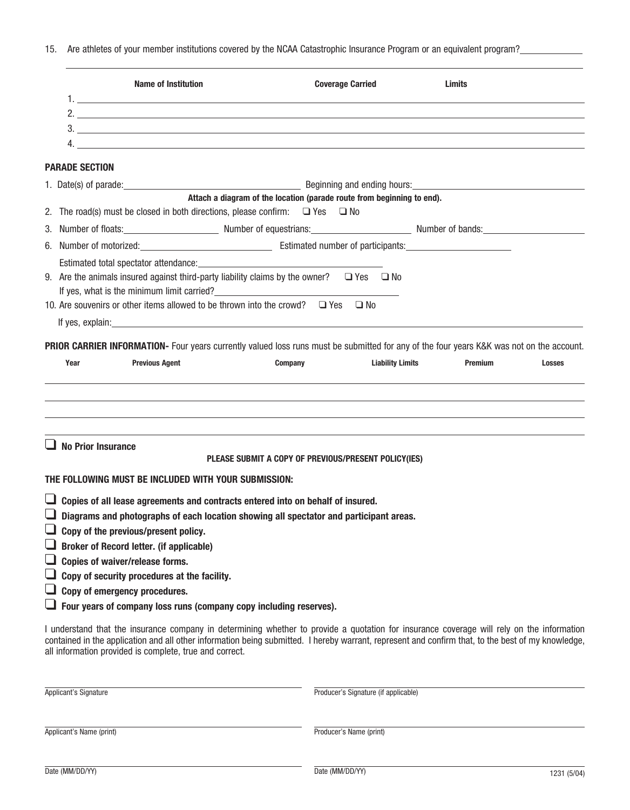15. Are athletes of your member institutions covered by the NCAA Catastrophic Insurance Program or an equivalent program?

| <b>Name of Institution</b>                                                                                                                                                                                                                                                                                                                                 | <b>Coverage Carried</b>                                                | Limits                          |
|------------------------------------------------------------------------------------------------------------------------------------------------------------------------------------------------------------------------------------------------------------------------------------------------------------------------------------------------------------|------------------------------------------------------------------------|---------------------------------|
|                                                                                                                                                                                                                                                                                                                                                            |                                                                        |                                 |
| $3.$ $\overline{\phantom{a}}$                                                                                                                                                                                                                                                                                                                              |                                                                        |                                 |
|                                                                                                                                                                                                                                                                                                                                                            |                                                                        |                                 |
| <b>PARADE SECTION</b>                                                                                                                                                                                                                                                                                                                                      |                                                                        |                                 |
| 1. Date(s) of parade: example and ending and ending hours: example and ending hours:                                                                                                                                                                                                                                                                       |                                                                        |                                 |
|                                                                                                                                                                                                                                                                                                                                                            | Attach a diagram of the location (parade route from beginning to end). |                                 |
| 2. The road(s) must be closed in both directions, please confirm: $\Box$ Yes $\Box$ No                                                                                                                                                                                                                                                                     |                                                                        |                                 |
| 3. Number of floats: Number of equestrians: Number of equestrians: Number of bands:                                                                                                                                                                                                                                                                        |                                                                        |                                 |
| 6. Number of motorized: Cambridge Communication Communication Estimated number of participants:                                                                                                                                                                                                                                                            |                                                                        |                                 |
| Estimated total spectator attendance:<br>Settimated total spectator attendance:<br>9. Are the animals insured against third-party liability claims by the owner? $\Box$ Yes $\Box$ No<br>10. Are souvenirs or other items allowed to be thrown into the crowd? $\Box$ Yes $\Box$ No                                                                        |                                                                        |                                 |
|                                                                                                                                                                                                                                                                                                                                                            |                                                                        |                                 |
| <b>PRIOR CARRIER INFORMATION-</b> Four years currently valued loss runs must be submitted for any of the four years K&K was not on the account.                                                                                                                                                                                                            |                                                                        |                                 |
| <b>Previous Agent</b><br>Year                                                                                                                                                                                                                                                                                                                              | Company<br><b>Liability Limits</b>                                     | <b>Premium</b><br><b>Losses</b> |
| <b>No Prior Insurance</b>                                                                                                                                                                                                                                                                                                                                  |                                                                        |                                 |
|                                                                                                                                                                                                                                                                                                                                                            | PLEASE SUBMIT A COPY OF PREVIOUS/PRESENT POLICY(IES)                   |                                 |
| THE FOLLOWING MUST BE INCLUDED WITH YOUR SUBMISSION:                                                                                                                                                                                                                                                                                                       |                                                                        |                                 |
| $\Box$ Copies of all lease agreements and contracts entered into on behalf of insured.                                                                                                                                                                                                                                                                     |                                                                        |                                 |
| Diagrams and photographs of each location showing all spectator and participant areas.                                                                                                                                                                                                                                                                     |                                                                        |                                 |
| Copy of the previous/present policy.                                                                                                                                                                                                                                                                                                                       |                                                                        |                                 |
| Broker of Record letter. (if applicable)                                                                                                                                                                                                                                                                                                                   |                                                                        |                                 |
| Copies of waiver/release forms.                                                                                                                                                                                                                                                                                                                            |                                                                        |                                 |
| Copy of security procedures at the facility.<br>Copy of emergency procedures.                                                                                                                                                                                                                                                                              |                                                                        |                                 |
| Four years of company loss runs (company copy including reserves).                                                                                                                                                                                                                                                                                         |                                                                        |                                 |
| I understand that the insurance company in determining whether to provide a quotation for insurance coverage will rely on the information<br>contained in the application and all other information being submitted. I hereby warrant, represent and confirm that, to the best of my knowledge,<br>all information provided is complete, true and correct. |                                                                        |                                 |
| Applicant's Signature                                                                                                                                                                                                                                                                                                                                      | Producer's Signature (if applicable)                                   |                                 |
| Applicant's Name (print)                                                                                                                                                                                                                                                                                                                                   | Producer's Name (print)                                                |                                 |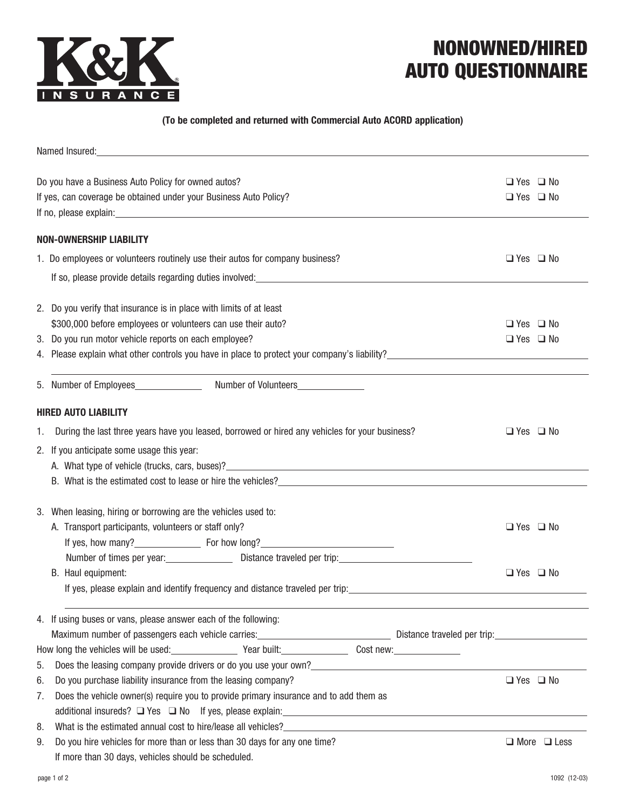

# NONOWNED/HIRED AUTO QUESTIONNAIRE

#### **(To be completed and returned with Commercial Auto ACORD application)**

| Do you have a Business Auto Policy for owned autos?<br>If yes, can coverage be obtained under your Business Auto Policy?<br>If no, please explain: example and a series of the series of the series of the series of the series of the series of the series of the series of the series of the series of the series of the series of the series of the ser | $\Box$ Yes $\Box$ No<br>$\Box$ Yes $\Box$ No |
|------------------------------------------------------------------------------------------------------------------------------------------------------------------------------------------------------------------------------------------------------------------------------------------------------------------------------------------------------------|----------------------------------------------|
| <b>NON-OWNERSHIP LIABILITY</b>                                                                                                                                                                                                                                                                                                                             |                                              |
| 1. Do employees or volunteers routinely use their autos for company business?                                                                                                                                                                                                                                                                              | $\Box$ Yes $\Box$ No                         |
| If so, please provide details regarding duties involved:                                                                                                                                                                                                                                                                                                   |                                              |
| 2. Do you verify that insurance is in place with limits of at least                                                                                                                                                                                                                                                                                        |                                              |
| \$300,000 before employees or volunteers can use their auto?                                                                                                                                                                                                                                                                                               | $\Box$ Yes $\Box$ No                         |
| 3. Do you run motor vehicle reports on each employee?                                                                                                                                                                                                                                                                                                      | $\Box$ Yes $\Box$ No                         |
| 4. Please explain what other controls you have in place to protect your company's liability?                                                                                                                                                                                                                                                               |                                              |
|                                                                                                                                                                                                                                                                                                                                                            |                                              |
| <b>HIRED AUTO LIABILITY</b>                                                                                                                                                                                                                                                                                                                                |                                              |
| During the last three years have you leased, borrowed or hired any vehicles for your business?<br>1.                                                                                                                                                                                                                                                       | $\Box$ Yes $\Box$ No                         |
| 2. If you anticipate some usage this year:                                                                                                                                                                                                                                                                                                                 |                                              |
|                                                                                                                                                                                                                                                                                                                                                            |                                              |
| B. What is the estimated cost to lease or hire the vehicles? University of the state of the state of the state of the state of the state of the state of the state of the state of the state of the state of the state of the                                                                                                                              |                                              |
|                                                                                                                                                                                                                                                                                                                                                            |                                              |
| 3. When leasing, hiring or borrowing are the vehicles used to:                                                                                                                                                                                                                                                                                             |                                              |
| A. Transport participants, volunteers or staff only?                                                                                                                                                                                                                                                                                                       | $\Box$ Yes $\Box$ No                         |
|                                                                                                                                                                                                                                                                                                                                                            |                                              |
|                                                                                                                                                                                                                                                                                                                                                            |                                              |
| B. Haul equipment:                                                                                                                                                                                                                                                                                                                                         | $\Box$ Yes $\Box$ No                         |
| If yes, please explain and identify frequency and distance traveled per trip: ________________________________                                                                                                                                                                                                                                             |                                              |
| 4. If using buses or vans, please answer each of the following:                                                                                                                                                                                                                                                                                            |                                              |
| Maximum number of passengers each vehicle carries:<br>Maximum number of passengers each vehicle carries:<br>All and the contraction of Distance traveled per trip:                                                                                                                                                                                         |                                              |
| How long the vehicles will be used:<br><u>Letter and a very lear built:</u> Cost new: Cost new:                                                                                                                                                                                                                                                            |                                              |
| Does the leasing company provide drivers or do you use your own?<br>5.                                                                                                                                                                                                                                                                                     |                                              |
| Do you purchase liability insurance from the leasing company?<br>6.                                                                                                                                                                                                                                                                                        | $\Box$ Yes $\Box$ No                         |
| Does the vehicle owner(s) require you to provide primary insurance and to add them as<br>7.                                                                                                                                                                                                                                                                |                                              |
|                                                                                                                                                                                                                                                                                                                                                            |                                              |
| What is the estimated annual cost to hire/lease all vehicles?<br>8.                                                                                                                                                                                                                                                                                        |                                              |
| Do you hire vehicles for more than or less than 30 days for any one time?<br>9.                                                                                                                                                                                                                                                                            | $\Box$ More $\Box$ Less                      |
| If more than 30 days, vehicles should be scheduled.                                                                                                                                                                                                                                                                                                        |                                              |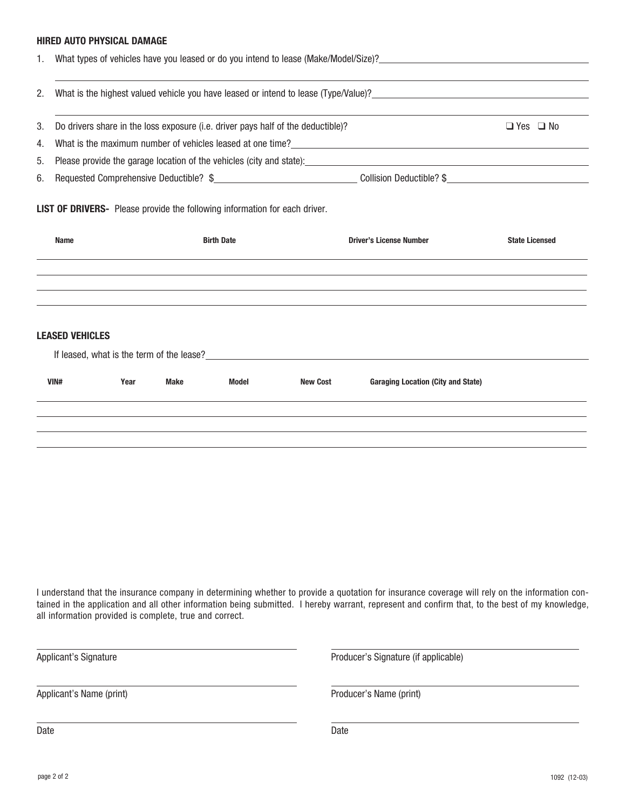#### **HIRED AUTO PHYSICAL DAMAGE**

| 1. |                                                                                                  |      |             |                   |                                                                                  | What types of vehicles have you leased or do you intend to lease (Make/Model/Size)? |                       |
|----|--------------------------------------------------------------------------------------------------|------|-------------|-------------------|----------------------------------------------------------------------------------|-------------------------------------------------------------------------------------|-----------------------|
| 2. |                                                                                                  |      |             |                   |                                                                                  |                                                                                     |                       |
| 3. |                                                                                                  |      |             |                   | Do drivers share in the loss exposure (i.e. driver pays half of the deductible)? |                                                                                     | $\Box$ Yes $\Box$ No  |
| 4. |                                                                                                  |      |             |                   |                                                                                  |                                                                                     |                       |
| 5. |                                                                                                  |      |             |                   |                                                                                  | Please provide the garage location of the vehicles (city and state):                |                       |
| 6. |                                                                                                  |      |             |                   |                                                                                  |                                                                                     |                       |
|    | <b>LIST OF DRIVERS-</b> Please provide the following information for each driver.<br><b>Name</b> |      |             | <b>Birth Date</b> |                                                                                  | <b>Driver's License Number</b>                                                      | <b>State Licensed</b> |
|    | <b>LEASED VEHICLES</b>                                                                           |      |             |                   |                                                                                  |                                                                                     |                       |
|    | VIN#                                                                                             | Year | <b>Make</b> | Model             | <b>New Cost</b>                                                                  | <b>Garaging Location (City and State)</b>                                           |                       |
|    |                                                                                                  |      |             |                   |                                                                                  |                                                                                     |                       |

I understand that the insurance company in determining whether to provide a quotation for insurance coverage will rely on the information contained in the application and all other information being submitted. I hereby warrant, represent and confirm that, to the best of my knowledge, all information provided is complete, true and correct.

Applicant's Name (print) Applicant's Name (print)

Applicant's Signature **Applicant's Signature** (if applicable)

 $\overline{a}$ 

 $\overline{a}$ 

 $\overline{a}$ 

Date **Date Date Date Date Date Date Date Date Date**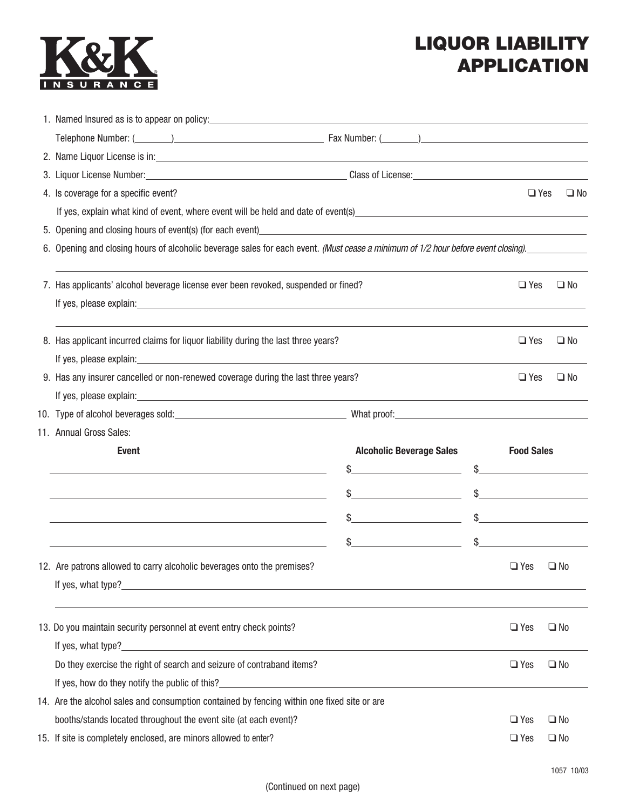

# LIQUOR LIABILITY APPLICATION

| 1. Named Insured as is to appear on policy:<br>and the contract of the contract of the contract of the contract of the contract of the contract of the contract of the contract of the contract of the contract of the contract  |                                                           |  |                   |              |
|----------------------------------------------------------------------------------------------------------------------------------------------------------------------------------------------------------------------------------|-----------------------------------------------------------|--|-------------------|--------------|
| Telephone Number: (Champion Communication Communication Communication Communication Communication Communication                                                                                                                  |                                                           |  |                   |              |
| 2. Name Liquor License is in: 1990 and 200 million and 200 million and 200 million and 200 million and 200 million and 200 million and 200 million and 200 million and 200 million and 200 million and 200 million and 200 mil   |                                                           |  |                   |              |
|                                                                                                                                                                                                                                  |                                                           |  |                   |              |
| 4. Is coverage for a specific event?                                                                                                                                                                                             |                                                           |  | $\Box$ Yes        | $\square$ No |
| If yes, explain what kind of event, where event will be held and date of event(s) explain what when the state of event will be held and date of event(s)                                                                         |                                                           |  |                   |              |
| 5. Opening and closing hours of event(s) (for each event)<br>Sample and the contract of the contract of the contract of the contract of the contract of the contract of the contract of the contract of the contract of the cont |                                                           |  |                   |              |
| 6. Opening and closing hours of alcoholic beverage sales for each event. (Must cease a minimum of 1/2 hour before event closing).                                                                                                |                                                           |  |                   |              |
| 7. Has applicants' alcohol beverage license ever been revoked, suspended or fined?                                                                                                                                               |                                                           |  | $\Box$ Yes        | $\square$ No |
|                                                                                                                                                                                                                                  |                                                           |  |                   |              |
| 8. Has applicant incurred claims for liquor liability during the last three years?                                                                                                                                               |                                                           |  | $\Box$ Yes        | $\square$ No |
|                                                                                                                                                                                                                                  |                                                           |  |                   |              |
| 9. Has any insurer cancelled or non-renewed coverage during the last three years?                                                                                                                                                |                                                           |  | $\Box$ Yes        | $\square$ No |
| If yes, please explain: example and a series of the series of the series of the series of the series of the series of the series of the series of the series of the series of the series of the series of the series of the se   |                                                           |  |                   |              |
|                                                                                                                                                                                                                                  |                                                           |  |                   |              |
| 11. Annual Gross Sales:                                                                                                                                                                                                          |                                                           |  |                   |              |
| <b>Event</b>                                                                                                                                                                                                                     | <b>Alcoholic Beverage Sales</b>                           |  | <b>Food Sales</b> |              |
|                                                                                                                                                                                                                                  | <u> 1990 - Johann Barbara, martxa eta politikar</u><br>\$ |  | $\frac{1}{2}$     |              |
| <u> 1989 - Andrea Station Barbara, amerikan personal (h. 1989).</u>                                                                                                                                                              | $\frac{1}{2}$                                             |  | $\frac{1}{2}$     |              |
| <u> 1989 - Johann Barn, fransk politik (f. 1989)</u>                                                                                                                                                                             | $\frac{1}{2}$                                             |  | $\frac{1}{2}$     |              |
| <u> 1989 - Johann Stoff, deutscher Stoffen und der Stoffen und der Stoffen und der Stoffen und der Stoffen und der</u>                                                                                                           | $\frac{1}{2}$                                             |  | $\sim$            |              |
| 12. Are patrons allowed to carry alcoholic beverages onto the premises?                                                                                                                                                          |                                                           |  | $\square$ Yes     | $\square$ No |
|                                                                                                                                                                                                                                  |                                                           |  |                   |              |
| 13. Do you maintain security personnel at event entry check points?                                                                                                                                                              |                                                           |  | $\square$ Yes     | $\square$ No |
|                                                                                                                                                                                                                                  |                                                           |  |                   |              |
| Do they exercise the right of search and seizure of contraband items?                                                                                                                                                            |                                                           |  | $\square$ Yes     | $\square$ No |
| If yes, how do they notify the public of this?<br><u>If</u> yes, how do they notify the public of this?<br><u> </u>                                                                                                              |                                                           |  |                   |              |
| 14. Are the alcohol sales and consumption contained by fencing within one fixed site or are                                                                                                                                      |                                                           |  |                   |              |
| booths/stands located throughout the event site (at each event)?                                                                                                                                                                 |                                                           |  | $\square$ Yes     | $\square$ No |
| 15. If site is completely enclosed, are minors allowed to enter?                                                                                                                                                                 |                                                           |  | $\Box$ Yes        | $\square$ No |
|                                                                                                                                                                                                                                  |                                                           |  |                   |              |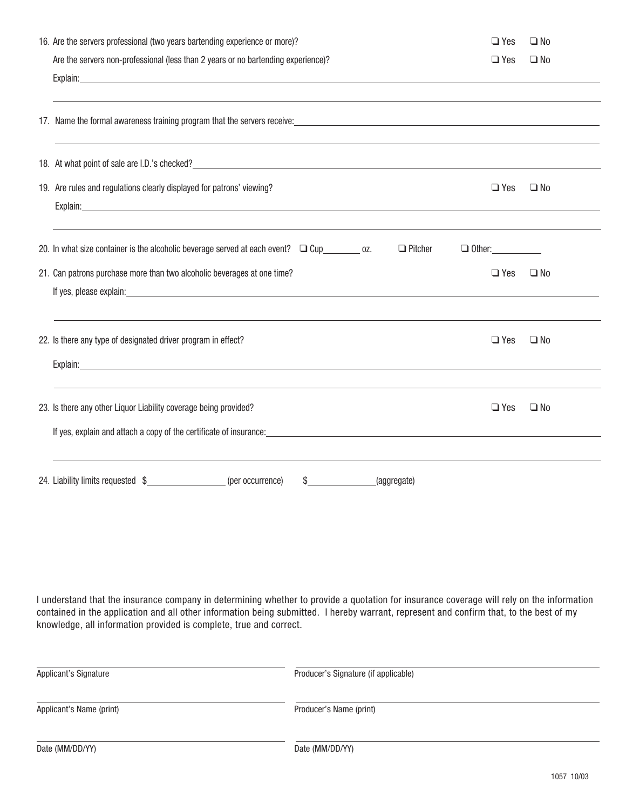| 16. Are the servers professional (two years bartending experience or more)?                                                                                                                                                            | $\Box$ Yes    | $\square$ No |
|----------------------------------------------------------------------------------------------------------------------------------------------------------------------------------------------------------------------------------------|---------------|--------------|
| Are the servers non-professional (less than 2 years or no bartending experience)?                                                                                                                                                      | $\square$ Yes | $\square$ No |
|                                                                                                                                                                                                                                        |               |              |
|                                                                                                                                                                                                                                        |               |              |
| 17. Name the formal awareness training program that the servers receive:<br>17. Name the formal awareness training program that the servers receive:                                                                                   |               |              |
| 18. At what point of sale are I.D.'s checked?<br><u> and the contract of the contract of the contract of the contract of the contract of the contract of the contract of the contract of the contract of the contract of the contr</u> |               |              |
| 19. Are rules and regulations clearly displayed for patrons' viewing?                                                                                                                                                                  | $\Box$ Yes    | $\Box$ No    |
| Explain: <u>Andreas Andreas Andreas Andreas Andreas Andreas Andreas Andreas Andreas Andreas Andreas Andreas Andr</u>                                                                                                                   |               |              |
|                                                                                                                                                                                                                                        |               |              |
| 20. In what size container is the alcoholic beverage served at each event? $\Box$ Cup__________ oz.<br>$\Box$ Pitcher                                                                                                                  | $\Box$ Other: |              |
| 21. Can patrons purchase more than two alcoholic beverages at one time?                                                                                                                                                                | $\Box$ Yes    | $\square$ No |
| If yes, please explain: The contract of the contract of the contract of the contract of the contract of the contract of the contract of the contract of the contract of the contract of the contract of the contract of the co         |               |              |
|                                                                                                                                                                                                                                        |               |              |
| 22. Is there any type of designated driver program in effect?                                                                                                                                                                          | $\square$ Yes | $\square$ No |
|                                                                                                                                                                                                                                        |               |              |
|                                                                                                                                                                                                                                        |               |              |
| 23. Is there any other Liquor Liability coverage being provided?                                                                                                                                                                       | $\Box$ Yes    | $\square$ No |
| If yes, explain and attach a copy of the certificate of insurance: explanation of the state of the state of the certificate of insurance:                                                                                              |               |              |
|                                                                                                                                                                                                                                        |               |              |
|                                                                                                                                                                                                                                        |               |              |
| 24. Liability limits requested \$______________________(per occurrence)<br>$\sim$<br>(aggregate)                                                                                                                                       |               |              |
|                                                                                                                                                                                                                                        |               |              |

I understand that the insurance company in determining whether to provide a quotation for insurance coverage will rely on the information contained in the application and all other information being submitted. I hereby warrant, represent and confirm that, to the best of my knowledge, all information provided is complete, true and correct.

| Applicant's Signature    | Producer's Signature (if applicable) |
|--------------------------|--------------------------------------|
| Applicant's Name (print) | Producer's Name (print)              |
| Date (MM/DD/YY)          | Date (MM/DD/YY)                      |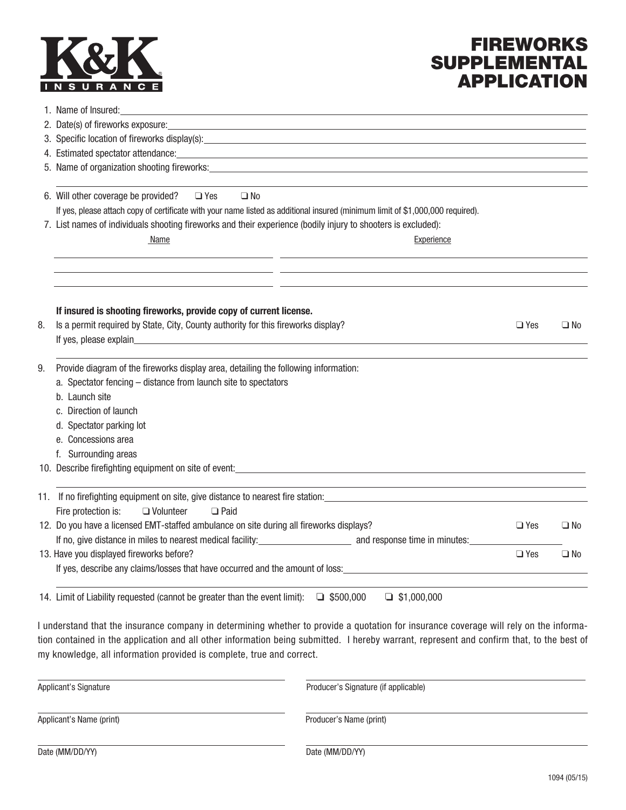# **INS** URANCE

## FIREWORKS SUPPLEMENTAL **APPLICATION**

|    | 1. Name of Insured:                                                                                                                                                                                                            | <u> 1989 - Andrea Station Barbara, actor a component de la componentación de la componentación de la componentaci</u> |            |              |
|----|--------------------------------------------------------------------------------------------------------------------------------------------------------------------------------------------------------------------------------|-----------------------------------------------------------------------------------------------------------------------|------------|--------------|
|    | 2. Date(s) of fireworks exposure: example and a series of the state of the state of the state of the state of the state of the state of the state of the state of the state of the state of the state of the state of the stat |                                                                                                                       |            |              |
|    | 3. Specific location of fireworks display(s): 1. The contract of the contract of the contract of the contract of the contract of the contract of the contract of the contract of the contract of the contract of the contract  |                                                                                                                       |            |              |
|    | 4. Estimated spectator attendance: etc. And a series are all the series of the series of the series of the series of the series of the series of the series of the series of the series of the series of the series of the ser |                                                                                                                       |            |              |
|    |                                                                                                                                                                                                                                |                                                                                                                       |            |              |
|    | 6. Will other coverage be provided?<br>$\Box$ Yes<br>$\square$ No                                                                                                                                                              |                                                                                                                       |            |              |
|    | If yes, please attach copy of certificate with your name listed as additional insured (minimum limit of \$1,000,000 required).                                                                                                 |                                                                                                                       |            |              |
|    | 7. List names of individuals shooting fireworks and their experience (bodily injury to shooters is excluded):                                                                                                                  |                                                                                                                       |            |              |
|    | <b>Name</b>                                                                                                                                                                                                                    | Experience                                                                                                            |            |              |
| 8. | If insured is shooting fireworks, provide copy of current license.<br>Is a permit required by State, City, County authority for this fireworks display?                                                                        |                                                                                                                       | $\Box$ Yes | $\square$ No |
| 9. | Provide diagram of the fireworks display area, detailing the following information:<br>a. Spectator fencing – distance from launch site to spectators                                                                          |                                                                                                                       |            |              |
|    | b. Launch site                                                                                                                                                                                                                 |                                                                                                                       |            |              |
|    | c. Direction of launch                                                                                                                                                                                                         |                                                                                                                       |            |              |
|    | d. Spectator parking lot<br>e. Concessions area                                                                                                                                                                                |                                                                                                                       |            |              |
|    | f. Surrounding areas                                                                                                                                                                                                           |                                                                                                                       |            |              |
|    |                                                                                                                                                                                                                                |                                                                                                                       |            |              |
|    |                                                                                                                                                                                                                                |                                                                                                                       |            |              |
|    | 11. If no firefighting equipment on site, give distance to nearest fire station: 1.1. If no firefighting equipment on site, give distance to nearest fire station:<br>Fire protection is:<br>$\Box$ Volunteer<br>$\Box$ Paid   |                                                                                                                       |            |              |
|    | 12. Do you have a licensed EMT-staffed ambulance on site during all fireworks displays?                                                                                                                                        |                                                                                                                       | $\Box$ Yes | $\square$ No |
|    | If no, give distance in miles to nearest medical facility:<br>and response time in minutes:                                                                                                                                    |                                                                                                                       |            |              |
|    | 13. Have you displayed fireworks before?                                                                                                                                                                                       |                                                                                                                       | $\Box$ Yes | $\square$ No |
|    | If yes, describe any claims/losses that have occurred and the amount of loss:                                                                                                                                                  |                                                                                                                       |            |              |
|    | 14. Limit of Liability requested (cannot be greater than the event limit):                                                                                                                                                     | $\Box$ \$500,000<br>$\Box$ \$1,000,000                                                                                |            |              |
|    | I understand that the insurance company in determining whether to provide a quotation for insurance coverage will rely on the informa-                                                                                         |                                                                                                                       |            |              |
|    | tion contained in the application and all other information being submitted. I hereby warrant, represent and confirm that, to the best of                                                                                      |                                                                                                                       |            |              |
|    | my knowledge, all information provided is complete, true and correct.                                                                                                                                                          |                                                                                                                       |            |              |
|    | Applicant's Signature                                                                                                                                                                                                          | Producer's Signature (if applicable)                                                                                  |            |              |
|    | Applicant's Name (print)                                                                                                                                                                                                       | Producer's Name (print)                                                                                               |            |              |
|    | Date (MM/DD/YY)                                                                                                                                                                                                                | Date (MM/DD/YY)                                                                                                       |            |              |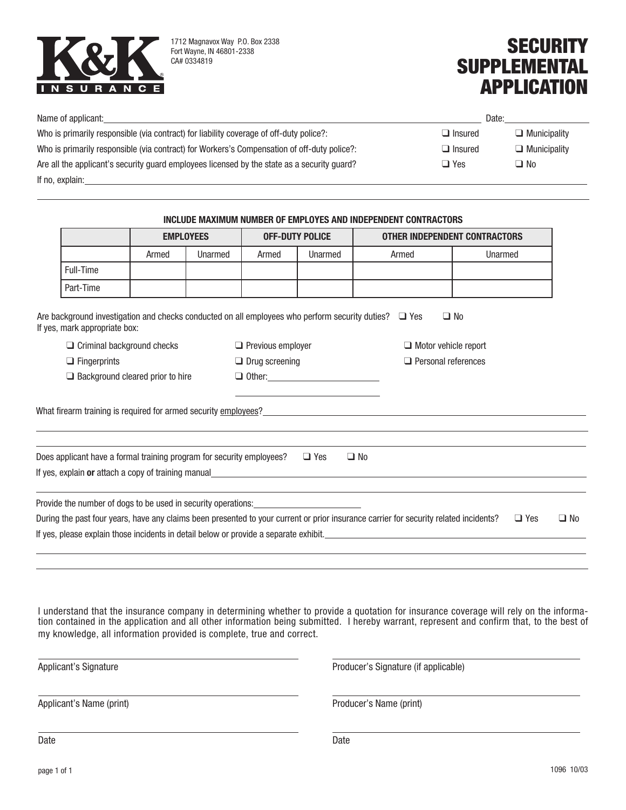

# **SECURITY** SUPPLEMENTAL APPLICATION

| Name of applicant:                                                                          | Date:          |                     |
|---------------------------------------------------------------------------------------------|----------------|---------------------|
| Who is primarily responsible (via contract) for liability coverage of off-duty police?:     | $\Box$ Insured | $\Box$ Municipality |
| Who is primarily responsible (via contract) for Workers's Compensation of off-duty police?: | $\Box$ Insured | $\Box$ Municipality |
| Are all the applicant's security guard employees licensed by the state as a security guard? | $\Box$ Yes     | No ا                |
| If no, explain:                                                                             |                |                     |

#### **INCLUDE MAXIMUM NUMBER OF EMPLOYES AND INDEPENDENT CONTRACTORS**

|                                                                                   |       | <b>EMPLOYEES</b> |                          | <b>OFF-DUTY POLICE</b> |                                                                                                                                       |           | <b>OTHER INDEPENDENT CONTRACTORS</b> |            |           |
|-----------------------------------------------------------------------------------|-------|------------------|--------------------------|------------------------|---------------------------------------------------------------------------------------------------------------------------------------|-----------|--------------------------------------|------------|-----------|
|                                                                                   | Armed | Unarmed          | Armed                    | Unarmed                | Armed                                                                                                                                 |           | Unarmed                              |            |           |
| Full-Time                                                                         |       |                  |                          |                        |                                                                                                                                       |           |                                      |            |           |
| Part-Time                                                                         |       |                  |                          |                        |                                                                                                                                       |           |                                      |            |           |
| If yes, mark appropriate box:                                                     |       |                  |                          |                        | Are background investigation and checks conducted on all employees who perform security duties? $\Box$ Yes                            | $\Box$ No |                                      |            |           |
| $\Box$ Criminal background checks                                                 |       |                  | $\Box$ Previous employer |                        |                                                                                                                                       |           | $\Box$ Motor vehicle report          |            |           |
| $\Box$ Fingerprints                                                               |       |                  | $\Box$ Drug screening    |                        |                                                                                                                                       |           | $\Box$ Personal references           |            |           |
| $\Box$ Background cleared prior to hire                                           |       |                  |                          |                        |                                                                                                                                       |           |                                      |            |           |
|                                                                                   |       |                  |                          | $\Box$ Other:          |                                                                                                                                       |           |                                      |            |           |
|                                                                                   |       |                  |                          |                        |                                                                                                                                       |           |                                      |            |           |
| Does applicant have a formal training program for security employees?             |       |                  |                          | $\Box$ Yes             | $\Box$ No                                                                                                                             |           |                                      |            |           |
| Provide the number of dogs to be used in security operations: ___________________ |       |                  |                          |                        |                                                                                                                                       |           |                                      |            |           |
|                                                                                   |       |                  |                          |                        | During the past four years, have any claims been presented to your current or prior insurance carrier for security related incidents? |           |                                      | $\Box$ Yes | $\Box$ No |

I understand that the insurance company in determining whether to provide a quotation for insurance coverage will rely on the information contained in the application and all other information being submitted. I hereby warrant, represent and confirm that, to the best of my knowledge, all information provided is complete, true and correct.

| Applicant's Signature    | Producer's Signature (if applicable) |  |
|--------------------------|--------------------------------------|--|
| Applicant's Name (print) | Producer's Name (print)              |  |
| Date                     | Date                                 |  |

 $\overline{a}$  $\overline{a}$ 

 $\overline{a}$ 

 $\overline{a}$ 

L L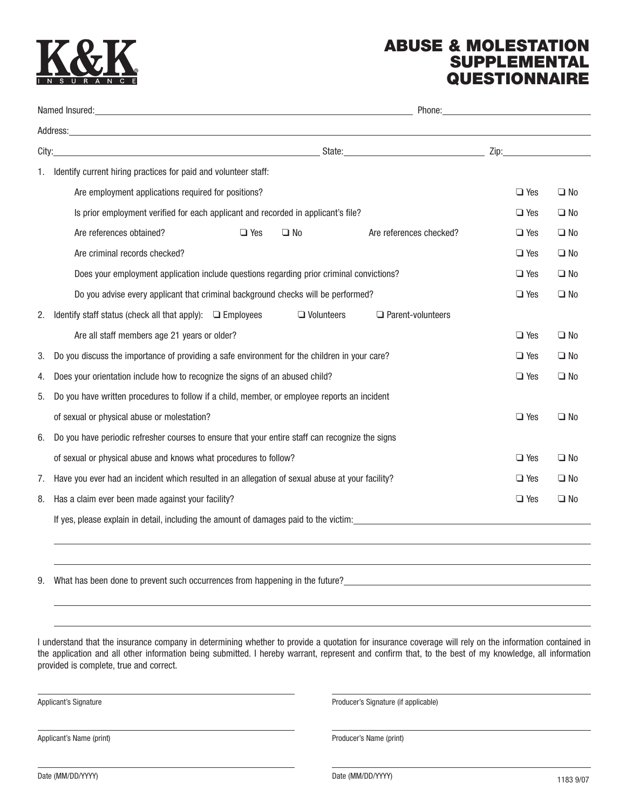### **ABUSE & MOLESTATION SUPPLEMENTAL QUESTIONNAIRE**

|       |                                                                                                                                                                                                                                      | Phone: the contract of the contract of the contract of the contract of the contract of the contract of the contract of the contract of the contract of the contract of the contract of the contract of the contract of the con |              |  |  |
|-------|--------------------------------------------------------------------------------------------------------------------------------------------------------------------------------------------------------------------------------------|--------------------------------------------------------------------------------------------------------------------------------------------------------------------------------------------------------------------------------|--------------|--|--|
|       | Address: <u>Address:</u> Address: Address: Address: Address: Address: Address: Address: Address: Address: Address: Address: Address: Address: Address: Address: Address: Address: Address: Address: Address: Address: Address: Addr  |                                                                                                                                                                                                                                |              |  |  |
| City: | <u>State: State: State: State: State: State: State: State: State: State: State: State: State: State: State: State: State: State: State: State: State: State: State: State: State: State: State: State: State: State: State: Stat</u> |                                                                                                                                                                                                                                |              |  |  |
| 1.    | Identify current hiring practices for paid and volunteer staff:                                                                                                                                                                      |                                                                                                                                                                                                                                |              |  |  |
|       | Are employment applications required for positions?                                                                                                                                                                                  | $\Box$ Yes                                                                                                                                                                                                                     | $\Box$ No    |  |  |
|       | Is prior employment verified for each applicant and recorded in applicant's file?                                                                                                                                                    | $\Box$ Yes                                                                                                                                                                                                                     | $\square$ No |  |  |
|       | Are references obtained?<br>$\Box$ Yes<br>$\square$ No<br>Are references checked?                                                                                                                                                    | $\Box$ Yes                                                                                                                                                                                                                     | $\square$ No |  |  |
|       | Are criminal records checked?                                                                                                                                                                                                        | $\Box$ Yes                                                                                                                                                                                                                     | $\Box$ No    |  |  |
|       | Does your employment application include questions regarding prior criminal convictions?                                                                                                                                             | $\Box$ Yes                                                                                                                                                                                                                     | $\Box$ No    |  |  |
|       | Do you advise every applicant that criminal background checks will be performed?                                                                                                                                                     | $\Box$ Yes                                                                                                                                                                                                                     | $\Box$ No    |  |  |
| 2.    | $\Box$ Parent-volunteers<br>Identify staff status (check all that apply): $\Box$ Employees<br>$\Box$ Volunteers                                                                                                                      |                                                                                                                                                                                                                                |              |  |  |
|       | Are all staff members age 21 years or older?                                                                                                                                                                                         | $\Box$ Yes                                                                                                                                                                                                                     | $\Box$ No    |  |  |
| 3.    | Do you discuss the importance of providing a safe environment for the children in your care?                                                                                                                                         | $\Box$ Yes                                                                                                                                                                                                                     | $\Box$ No    |  |  |
| 4.    | Does your orientation include how to recognize the signs of an abused child?                                                                                                                                                         | $\Box$ Yes                                                                                                                                                                                                                     | $\Box$ No    |  |  |
| 5.    | Do you have written procedures to follow if a child, member, or employee reports an incident                                                                                                                                         |                                                                                                                                                                                                                                |              |  |  |
|       | of sexual or physical abuse or molestation?                                                                                                                                                                                          | $\Box$ Yes                                                                                                                                                                                                                     | $\Box$ No    |  |  |
| 6.    | Do you have periodic refresher courses to ensure that your entire staff can recognize the signs                                                                                                                                      |                                                                                                                                                                                                                                |              |  |  |
|       | of sexual or physical abuse and knows what procedures to follow?                                                                                                                                                                     | $\Box$ Yes                                                                                                                                                                                                                     | $\Box$ No    |  |  |
| 7.    | Have you ever had an incident which resulted in an allegation of sexual abuse at your facility?                                                                                                                                      | $\Box$ Yes                                                                                                                                                                                                                     | $\Box$ No    |  |  |
| 8.    | Has a claim ever been made against your facility?                                                                                                                                                                                    | $\Box$ Yes                                                                                                                                                                                                                     | $\square$ No |  |  |
|       | If yes, please explain in detail, including the amount of damages paid to the victim:                                                                                                                                                |                                                                                                                                                                                                                                |              |  |  |
|       |                                                                                                                                                                                                                                      |                                                                                                                                                                                                                                |              |  |  |
|       |                                                                                                                                                                                                                                      |                                                                                                                                                                                                                                |              |  |  |
| 9.    | What has been done to prevent such occurrences from happening in the future?                                                                                                                                                         |                                                                                                                                                                                                                                |              |  |  |

I understand that the insurance company in determining whether to provide a quotation for insurance coverage will rely on the information contained in the application and all other information being submitted. I hereby warrant, represent and confirm that, to the best of my knowledge, all information provided is complete, true and correct.

Applicant's Signature (if applicable) Applicant's Signature (if applicable)

Applicant's Name (print) Applicant's Name (print)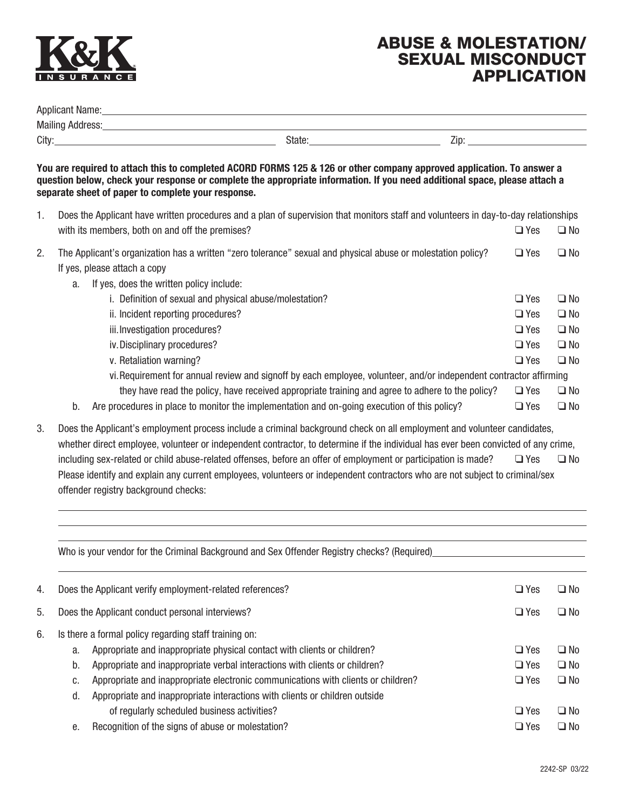$\overline{a}$ 

### ABUSE & MOLESTATION/ SEXUAL MISCONDUCT **APPLICATION**

|                                                                                                                                                                                                                                                 | Applicant Name: 1990 Manual Applicant Name: 1990 Manual Applicant Name: 1990 Manual Applicant Name: 1990 Manua                                                                                                                                                                                                                                                                  |                                                                                                                    |                                                                                                                                                                                                                                |            |              |
|-------------------------------------------------------------------------------------------------------------------------------------------------------------------------------------------------------------------------------------------------|---------------------------------------------------------------------------------------------------------------------------------------------------------------------------------------------------------------------------------------------------------------------------------------------------------------------------------------------------------------------------------|--------------------------------------------------------------------------------------------------------------------|--------------------------------------------------------------------------------------------------------------------------------------------------------------------------------------------------------------------------------|------------|--------------|
|                                                                                                                                                                                                                                                 |                                                                                                                                                                                                                                                                                                                                                                                 |                                                                                                                    |                                                                                                                                                                                                                                |            |              |
| State: State:<br>City: the contract of the contract of the contract of the contract of the contract of the contract of the contract of the contract of the contract of the contract of the contract of the contract of the contract of the cont |                                                                                                                                                                                                                                                                                                                                                                                 |                                                                                                                    | Zip: The contract of the contract of the contract of the contract of the contract of the contract of the contract of the contract of the contract of the contract of the contract of the contract of the contract of the contr |            |              |
|                                                                                                                                                                                                                                                 | You are required to attach this to completed ACORD FORMS 125 & 126 or other company approved application. To answer a<br>question below, check your response or complete the appropriate information. If you need additional space, please attach a<br>separate sheet of paper to complete your response.                                                                       |                                                                                                                    |                                                                                                                                                                                                                                |            |              |
| 1.                                                                                                                                                                                                                                              | Does the Applicant have written procedures and a plan of supervision that monitors staff and volunteers in day-to-day relationships                                                                                                                                                                                                                                             |                                                                                                                    |                                                                                                                                                                                                                                |            |              |
|                                                                                                                                                                                                                                                 | with its members, both on and off the premises?                                                                                                                                                                                                                                                                                                                                 |                                                                                                                    |                                                                                                                                                                                                                                | $\Box$ Yes | $\square$ No |
| 2.                                                                                                                                                                                                                                              | The Applicant's organization has a written "zero tolerance" sexual and physical abuse or molestation policy?<br>If yes, please attach a copy<br>If yes, does the written policy include:<br>a.                                                                                                                                                                                  |                                                                                                                    |                                                                                                                                                                                                                                | $\Box$ Yes | $\square$ No |
|                                                                                                                                                                                                                                                 | i. Definition of sexual and physical abuse/molestation?                                                                                                                                                                                                                                                                                                                         |                                                                                                                    |                                                                                                                                                                                                                                | $\Box$ Yes | $\square$ No |
|                                                                                                                                                                                                                                                 | ii. Incident reporting procedures?                                                                                                                                                                                                                                                                                                                                              |                                                                                                                    |                                                                                                                                                                                                                                | $\Box$ Yes | $\square$ No |
|                                                                                                                                                                                                                                                 | iii. Investigation procedures?                                                                                                                                                                                                                                                                                                                                                  |                                                                                                                    |                                                                                                                                                                                                                                | $\Box$ Yes | $\square$ No |
|                                                                                                                                                                                                                                                 | iv. Disciplinary procedures?                                                                                                                                                                                                                                                                                                                                                    |                                                                                                                    |                                                                                                                                                                                                                                | $\Box$ Yes | $\square$ No |
|                                                                                                                                                                                                                                                 | v. Retaliation warning?                                                                                                                                                                                                                                                                                                                                                         |                                                                                                                    |                                                                                                                                                                                                                                | $\Box$ Yes | $\square$ No |
|                                                                                                                                                                                                                                                 |                                                                                                                                                                                                                                                                                                                                                                                 | vi. Requirement for annual review and signoff by each employee, volunteer, and/or independent contractor affirming |                                                                                                                                                                                                                                |            |              |
|                                                                                                                                                                                                                                                 |                                                                                                                                                                                                                                                                                                                                                                                 | they have read the policy, have received appropriate training and agree to adhere to the policy?                   |                                                                                                                                                                                                                                | $\Box$ Yes | $\square$ No |
|                                                                                                                                                                                                                                                 | Are procedures in place to monitor the implementation and on-going execution of this policy?<br>b.                                                                                                                                                                                                                                                                              |                                                                                                                    |                                                                                                                                                                                                                                | $\Box$ Yes | $\square$ No |
| 3.                                                                                                                                                                                                                                              | Does the Applicant's employment process include a criminal background check on all employment and volunteer candidates,<br>whether direct employee, volunteer or independent contractor, to determine if the individual has ever been convicted of any crime,<br>including sex-related or child abuse-related offenses, before an offer of employment or participation is made? |                                                                                                                    |                                                                                                                                                                                                                                |            |              |
|                                                                                                                                                                                                                                                 | Please identify and explain any current employees, volunteers or independent contractors who are not subject to criminal/sex<br>offender registry background checks:                                                                                                                                                                                                            |                                                                                                                    |                                                                                                                                                                                                                                | $\Box$ Yes | $\square$ No |

| Who is your vendor for the Criminal Background and Sex Offender Registry checks? (Required) |                                                               |                                                                                   |            |              |
|---------------------------------------------------------------------------------------------|---------------------------------------------------------------|-----------------------------------------------------------------------------------|------------|--------------|
| 4.                                                                                          |                                                               | Does the Applicant verify employment-related references?                          | $\Box$ Yes | $\square$ No |
| 5.                                                                                          | $\Box$ Yes<br>Does the Applicant conduct personal interviews? |                                                                                   |            | $\square$ No |
| 6.<br>Is there a formal policy regarding staff training on:                                 |                                                               |                                                                                   |            |              |
|                                                                                             | a.                                                            | Appropriate and inappropriate physical contact with clients or children?          | $\Box$ Yes | $\Box$ No    |
|                                                                                             | b.                                                            | Appropriate and inappropriate verbal interactions with clients or children?       | $\Box$ Yes | $\square$ No |
|                                                                                             | c.                                                            | Appropriate and inappropriate electronic communications with clients or children? | $\Box$ Yes | $\square$ No |
|                                                                                             | d.                                                            | Appropriate and inappropriate interactions with clients or children outside       |            |              |
|                                                                                             |                                                               | of regularly scheduled business activities?                                       | $\Box$ Yes | $\Box$ No    |
|                                                                                             | е.                                                            | Recognition of the signs of abuse or molestation?                                 | $\Box$ Yes | $\Box$ No    |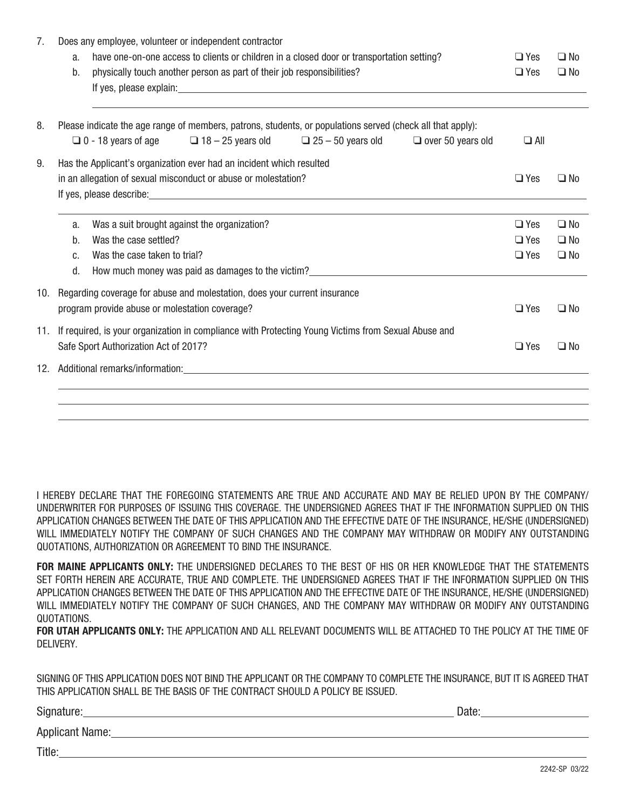| 7.  | a.<br>$b_{-}$                                                                                                                                                              | Does any employee, volunteer or independent contractor<br>have one-on-one access to clients or children in a closed door or transportation setting?<br>physically touch another person as part of their job responsibilities? | $\Box$ Yes<br>$\Box$ Yes | $\Box$ No<br>$\square$ No |
|-----|----------------------------------------------------------------------------------------------------------------------------------------------------------------------------|-------------------------------------------------------------------------------------------------------------------------------------------------------------------------------------------------------------------------------|--------------------------|---------------------------|
| 8.  |                                                                                                                                                                            | Please indicate the age range of members, patrons, students, or populations served (check all that apply):                                                                                                                    |                          |                           |
|     |                                                                                                                                                                            | $\Box$ 0 - 18 years of age<br>$\Box$ 18 – 25 years old $\Box$ 25 – 50 years old<br>$\Box$ over 50 years old                                                                                                                   | $\Box$ All               |                           |
| 9.  |                                                                                                                                                                            | Has the Applicant's organization ever had an incident which resulted<br>in an allegation of sexual misconduct or abuse or molestation?                                                                                        | $\Box$ Yes               | $\square$ No              |
|     | a.                                                                                                                                                                         | Was a suit brought against the organization?                                                                                                                                                                                  | $\Box$ Yes               | $\Box$ No                 |
|     | $b_{-}$                                                                                                                                                                    | Was the case settled?                                                                                                                                                                                                         | $\Box$ Yes               | $\square$ No              |
|     | C.                                                                                                                                                                         | Was the case taken to trial?                                                                                                                                                                                                  | $\square$ Yes            | $\square$ No              |
|     | d.                                                                                                                                                                         | How much money was paid as damages to the victim?                                                                                                                                                                             |                          |                           |
| 10. | Regarding coverage for abuse and molestation, does your current insurance<br>program provide abuse or molestation coverage?<br>$\Box$ Yes<br>$\square$ No                  |                                                                                                                                                                                                                               |                          |                           |
| 11. | If required, is your organization in compliance with Protecting Young Victims from Sexual Abuse and<br>Safe Sport Authorization Act of 2017?<br>$\Box$ Yes<br>$\square$ No |                                                                                                                                                                                                                               |                          |                           |
| 12. |                                                                                                                                                                            |                                                                                                                                                                                                                               |                          |                           |
|     |                                                                                                                                                                            |                                                                                                                                                                                                                               |                          |                           |
|     |                                                                                                                                                                            |                                                                                                                                                                                                                               |                          |                           |
|     |                                                                                                                                                                            |                                                                                                                                                                                                                               |                          |                           |

I HEREBY DECLARE THAT THE FOREGOING STATEMENTS ARE TRUE AND ACCURATE AND MAY BE RELIED UPON BY THE COMPANY/ UNDERWRITER FOR PURPOSES OF ISSUING THIS COVERAGE. THE UNDERSIGNED AGREES THAT IF THE INFORMATION SUPPLIED ON THIS APPLICATION CHANGES BETWEEN THE DATE OF THIS APPLICATION AND THE EFFECTIVE DATE OF THE INSURANCE, HE/SHE (UNDERSIGNED) WILL IMMEDIATELY NOTIFY THE COMPANY OF SUCH CHANGES AND THE COMPANY MAY WITHDRAW OR MODIFY ANY OUTSTANDING QUOTATIONS, AUTHORIZATION OR AGREEMENT TO BIND THE INSURANCE.

**FOR MAINE APPLICANTS ONLY:** THE UNDERSIGNED DECLARES TO THE BEST OF HIS OR HER KNOWLEDGE THAT THE STATEMENTS SET FORTH HEREIN ARE ACCURATE, TRUE AND COMPLETE. THE UNDERSIGNED AGREES THAT IF THE INFORMATION SUPPLIED ON THIS APPLICATION CHANGES BETWEEN THE DATE OF THIS APPLICATION AND THE EFFECTIVE DATE OF THE INSURANCE, HE/SHE (UNDERSIGNED) WILL IMMEDIATELY NOTIFY THE COMPANY OF SUCH CHANGES, AND THE COMPANY MAY WITHDRAW OR MODIFY ANY OUTSTANDING QUOTATIONS.

**FOR UTAH APPLICANTS ONLY:** THE APPLICATION AND ALL RELEVANT DOCUMENTS WILL BE ATTACHED TO THE POLICY AT THE TIME OF DELIVERY.

SIGNING OF THIS APPLICATION DOES NOT BIND THE APPLICANT OR THE COMPANY TO COMPLETE THE INSURANCE, BUT IT IS AGREED THAT THIS APPLICATION SHALL BE THE BASIS OF THE CONTRACT SHOULD A POLICY BE ISSUED.

Signature: Date: Date: Date: Date: Date: Date: Date: Date: Date: Date: Date: Date: Date: Date: Date: Date: Date: Date: Date: Date: Date: Date: Date: Date: Date: Date: Date: Date: Date: Date: Date: Date: Date: Date: Date: D

Applicant Name:

Title: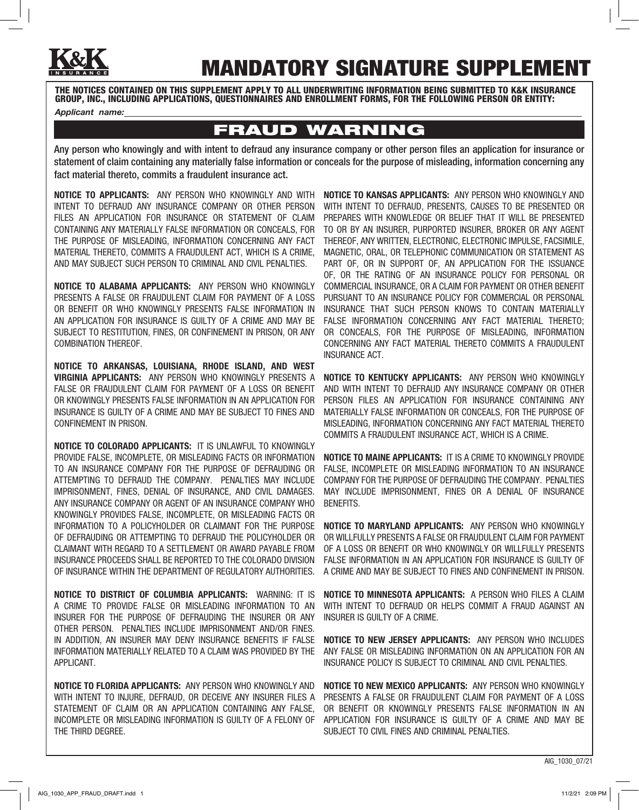

# MANDATORY SIGNATURE SUPPLEMENT

THE NOTICES CONTAINED ON THIS SUPPLEMENT APPLY TO ALL UNDERWRITING INFORMATION BEING SUBMITTED TO K&K INSURANCE GROUP, INC., INCLUDING APPLICATIONS, QUESTIONNAIRES AND ENROLLMENT FORMS, FOR THE FOLLOWING PERSON OR ENTITY:

*Applicant name:*

### FRAUD WARNING

Any person who knowingly and with intent to defraud any insurance company or other person files an application for insurance or statement of claim containing any materially false information or conceals for the purpose of misleading, information concerning any fact material thereto, commits a fraudulent insurance act.

**NOTICE TO APPLICANTS:** ANY PERSON WHO KNOWINGLY AND WITH INTENT TO DEFRAUD ANY INSURANCE COMPANY OR OTHER PERSON FILES AN APPLICATION FOR INSURANCE OR STATEMENT OF CLAIM CONTAINING ANY MATERIALLY FALSE INFORMATION OR CONCEALS, FOR THE PURPOSE OF MISLEADING, INFORMATION CONCERNING ANY FACT MATERIAL THERETO, COMMITS A FRAUDULENT ACT, WHICH IS A CRIME, AND MAY SUBJECT SUCH PERSON TO CRIMINAL AND CIVIL PENALTIES.

**NOTICE TO ALABAMA APPLICANTS:** ANY PERSON WHO KNOWINGLY PRESENTS A FALSE OR FRAUDULENT CLAIM FOR PAYMENT OF A LOSS OR BENEFIT OR WHO KNOWINGLY PRESENTS FALSE INFORMATION IN AN APPLICATION FOR INSURANCE IS GUILTY OF A CRIME AND MAY BE SUBJECT TO RESTITUTION, FINES, OR CONFINEMENT IN PRISON, OR ANY COMBINATION THEREOF.

**NOTICE TO ARKANSAS, LOUISIANA, RHODE ISLAND, AND WEST VIRGINIA APPLICANTS:** ANY PERSON WHO KNOWINGLY PRESENTS A FALSE OR FRAUDULENT CLAIM FOR PAYMENT OF A LOSS OR BENEFIT OR KNOWINGLY PRESENTS FALSE INFORMATION IN AN APPLICATION FOR INSURANCE IS GUILTY OF A CRIME AND MAY BE SUBJECT TO FINES AND CONFINEMENT IN PRISON.

**NOTICE TO COLORADO APPLICANTS:** IT IS UNLAWFUL TO KNOWINGLY PROVIDE FALSE, INCOMPLETE, OR MISLEADING FACTS OR INFORMATION TO AN INSURANCE COMPANY FOR THE PURPOSE OF DEFRAUDING OR ATTEMPTING TO DEFRAUD THE COMPANY. PENALTIES MAY INCLUDE IMPRISONMENT, FINES, DENIAL OF INSURANCE, AND CIVIL DAMAGES. ANY INSURANCE COMPANY OR AGENT OF AN INSURANCE COMPANY WHO KNOWINGLY PROVIDES FALSE, INCOMPLETE, OR MISLEADING FACTS OR INFORMATION TO A POLICYHOLDER OR CLAIMANT FOR THE PURPOSE OF DEFRAUDING OR ATTEMPTING TO DEFRAUD THE POLICYHOLDER OR CLAIMANT WITH REGARD TO A SETTLEMENT OR AWARD PAYABLE FROM INSURANCE PROCEEDS SHALL BE REPORTED TO THE COLORADO DIVISION OF INSURANCE WITHIN THE DEPARTMENT OF REGULATORY AUTHORITIES.

**NOTICE TO DISTRICT OF COLUMBIA APPLICANTS:** WARNING: IT IS A CRIME TO PROVIDE FALSE OR MISLEADING INFORMATION TO AN INSURER FOR THE PURPOSE OF DEFRAUDING THE INSURER OR ANY OTHER PERSON. PENALTIES INCLUDE IMPRISONMENT AND/OR FINES. IN ADDITION, AN INSURER MAY DENY INSURANCE BENEFITS IF FALSE INFORMATION MATERIALLY RELATED TO A CLAIM WAS PROVIDED BY THE APPLICANT.

**NOTICE TO FLORIDA APPLICANTS:** ANY PERSON WHO KNOWINGLY AND WITH INTENT TO INJURE, DEFRAUD, OR DECEIVE ANY INSURER FILES A STATEMENT OF CLAIM OR AN APPLICATION CONTAINING ANY FALSE, INCOMPLETE OR MISLEADING INFORMATION IS GUILTY OF A FELONY OF THE THIRD DEGREE.

**NOTICE TO KANSAS APPLICANTS:** ANY PERSON WHO KNOWINGLY AND WITH INTENT TO DEFRAUD, PRESENTS, CAUSES TO BE PRESENTED OR PREPARES WITH KNOWLEDGE OR BELIEF THAT IT WILL BE PRESENTED TO OR BY AN INSURER, PURPORTED INSURER, BROKER OR ANY AGENT THEREOF, ANY WRITTEN, ELECTRONIC, ELECTRONIC IMPULSE, FACSIMILE, MAGNETIC, ORAL, OR TELEPHONIC COMMUNICATION OR STATEMENT AS PART OF, OR IN SUPPORT OF, AN APPLICATION FOR THE ISSUANCE OF, OR THE RATING OF AN INSURANCE POLICY FOR PERSONAL OR COMMERCIAL INSURANCE, OR A CLAIM FOR PAYMENT OR OTHER BENEFIT PURSUANT TO AN INSURANCE POLICY FOR COMMERCIAL OR PERSONAL INSURANCE THAT SUCH PERSON KNOWS TO CONTAIN MATERIALLY FALSE INFORMATION CONCERNING ANY FACT MATERIAL THERETO; OR CONCEALS, FOR THE PURPOSE OF MISLEADING, INFORMATION CONCERNING ANY FACT MATERIAL THERETO COMMITS A FRAUDULENT INSURANCE ACT.

**NOTICE TO KENTUCKY APPLICANTS:** ANY PERSON WHO KNOWINGLY AND WITH INTENT TO DEFRAUD ANY INSURANCE COMPANY OR OTHER PERSON FILES AN APPLICATION FOR INSURANCE CONTAINING ANY MATERIALLY FALSE INFORMATION OR CONCEALS, FOR THE PURPOSE OF MISLEADING, INFORMATION CONCERNING ANY FACT MATERIAL THERETO COMMITS A FRAUDULENT INSURANCE ACT, WHICH IS A CRIME.

**NOTICE TO MAINE APPLICANTS:** IT IS A CRIME TO KNOWINGLY PROVIDE FALSE, INCOMPLETE OR MISLEADING INFORMATION TO AN INSURANCE COMPANY FOR THE PURPOSE OF DEFRAUDING THE COMPANY. PENALTIES MAY INCLUDE IMPRISONMENT, FINES OR A DENIAL OF INSURANCE BENEFITS.

**NOTICE TO MARYLAND APPLICANTS:** ANY PERSON WHO KNOWINGLY OR WILLFULLY PRESENTS A FALSE OR FRAUDULENT CLAIM FOR PAYMENT OF A LOSS OR BENEFIT OR WHO KNOWINGLY OR WILLFULLY PRESENTS FALSE INFORMATION IN AN APPLICATION FOR INSURANCE IS GUILTY OF A CRIME AND MAY BE SUBJECT TO FINES AND CONFINEMENT IN PRISON.

**NOTICE TO MINNESOTA APPLICANTS:** A PERSON WHO FILES A CLAIM WITH INTENT TO DEFRAUD OR HELPS COMMIT A FRAUD AGAINST AN INSURER IS GUILTY OF A CRIME.

**NOTICE TO NEW JERSEY APPLICANTS:** ANY PERSON WHO INCLUDES ANY FALSE OR MISLEADING INFORMATION ON AN APPLICATION FOR AN INSURANCE POLICY IS SUBJECT TO CRIMINAL AND CIVIL PENALTIES.

**NOTICE TO NEW MEXICO APPLICANTS:** ANY PERSON WHO KNOWINGLY PRESENTS A FALSE OR FRAUDULENT CLAIM FOR PAYMENT OF A LOSS OR BENEFIT OR KNOWINGLY PRESENTS FALSE INFORMATION IN AN APPLICATION FOR INSURANCE IS GUILTY OF A CRIME AND MAY BE SUBJECT TO CIVIL FINES AND CRIMINAL PENALTIES.